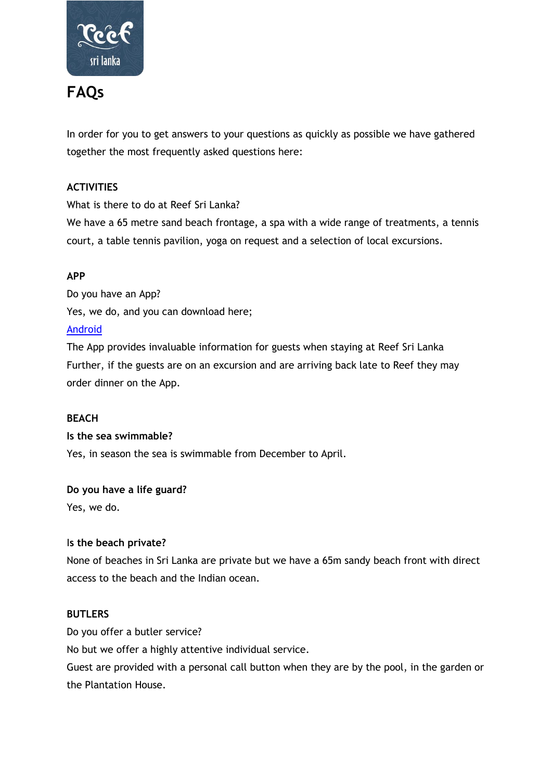

# **FAQs**

In order for you to get answers to your questions as quickly as possible we have gathered together the most frequently asked questions here:

### **ACTIVITIES**

What is there to do at Reef Sri Lanka?

We have a 65 metre sand beach frontage, a spa with a wide range of treatments, a tennis court, a table tennis pavilion, yoga on request and a selection of local excursions.

### **APP**

Do you have an App? Yes, we do, and you can download here; [Android](https://play.google.com/store/apps/details?id=com.app.reefvilllaandspa)

The App provides invaluable information for guests when staying at Reef Sri Lanka Further, if the guests are on an excursion and are arriving back late to Reef they may order dinner on the App.

#### **BEACH**

**Is the sea swimmable?**

Yes, in season the sea is swimmable from December to April.

#### **Do you have a life guard?**

Yes, we do.

#### I**s the beach private?**

None of beaches in Sri Lanka are private but we have a 65m sandy beach front with direct access to the beach and the Indian ocean.

#### **BUTLERS**

Do you offer a butler service?

No but we offer a highly attentive individual service.

Guest are provided with a personal call button when they are by the pool, in the garden or the Plantation House.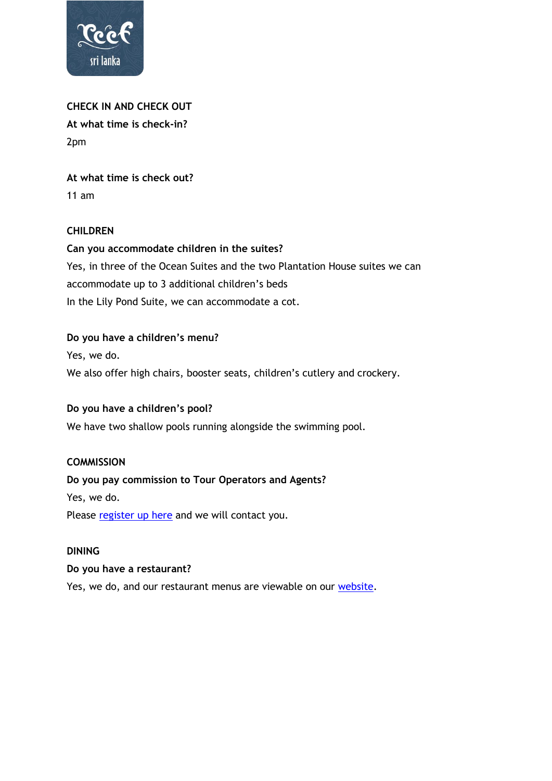

**CHECK IN AND CHECK OUT At what time is check-in?** 2pm

**At what time is check out?** 11 am

#### **CHILDREN**

**Can you accommodate children in the suites?** Yes, in three of the Ocean Suites and the two Plantation House suites we can accommodate up to 3 additional children's beds In the Lily Pond Suite, we can accommodate a cot.

#### **Do you have a children's menu?**

Yes, we do.

We also offer high chairs, booster seats, children's cutlery and crockery.

#### **Do you have a children's pool?**

We have two shallow pools running alongside the swimming pool.

#### **COMMISSION**

#### **Do you pay commission to Tour Operators and Agents?**

Yes, we do.

Please [register up here](http://eepurl.com/dEvK8b) and we will contact you.

#### **DINING**

#### **Do you have a restaurant?**

Yes, we do, and our restaurant menus are viewable on our [website.](https://www.reefvilla.com/dining)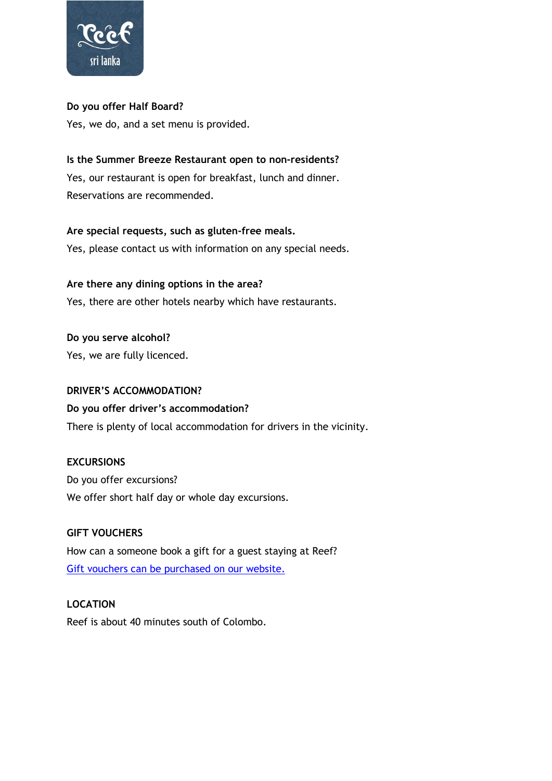

### **Do you offer Half Board?**

Yes, we do, and a set menu is provided.

# **Is the Summer Breeze Restaurant open to non-residents?**

Yes, our restaurant is open for breakfast, lunch and dinner. Reservations are recommended.

# **Are special requests, such as gluten-free meals.**

Yes, please contact us with information on any special needs.

# **Are there any dining options in the area?** Yes, there are other hotels nearby which have restaurants.

**Do you serve alcohol?** Yes, we are fully licenced.

#### **DRIVER'S ACCOMMODATION?**

# **Do you offer driver's accommodation?**

There is plenty of local accommodation for drivers in the vicinity.

#### **EXCURSIONS**

Do you offer excursions? We offer short half day or whole day excursions.

# **GIFT VOUCHERS**

How can a someone book a gift for a guest staying at Reef? [Gift vouchers can be purchased on our website.](https://shop.bookin1.com/property/RVSVLK/vouchers/list?cat=all)

#### **LOCATION**

Reef is about 40 minutes south of Colombo.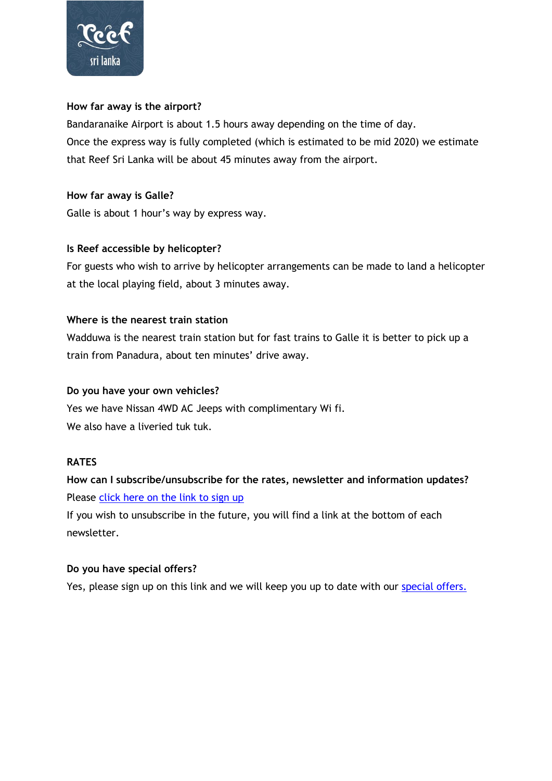

#### **How far away is the airport?**

Bandaranaike Airport is about 1.5 hours away depending on the time of day. Once the express way is fully completed (which is estimated to be mid 2020) we estimate that Reef Sri Lanka will be about 45 minutes away from the airport.

#### **How far away is Galle?**

Galle is about 1 hour's way by express way.

#### **Is Reef accessible by helicopter?**

For guests who wish to arrive by helicopter arrangements can be made to land a helicopter at the local playing field, about 3 minutes away.

#### **Where is the nearest train station**

Wadduwa is the nearest train station but for fast trains to Galle it is better to pick up a train from Panadura, about ten minutes' drive away.

#### **Do you have your own vehicles?**

Yes we have Nissan 4WD AC Jeeps with complimentary Wi fi. We also have a liveried tuk tuk.

#### **RATES**

# **How can I subscribe/unsubscribe for the rates, newsletter and information updates?**  Please [click here on the link to sign up](http://eepurl.com/dEzxC9)

If you wish to unsubscribe in the future, you will find a link at the bottom of each newsletter.

#### **Do you have special offers?**

Yes, please sign up on this link and we will keep you up to date with our [special offers.](https://www.reefvilla.com/offers)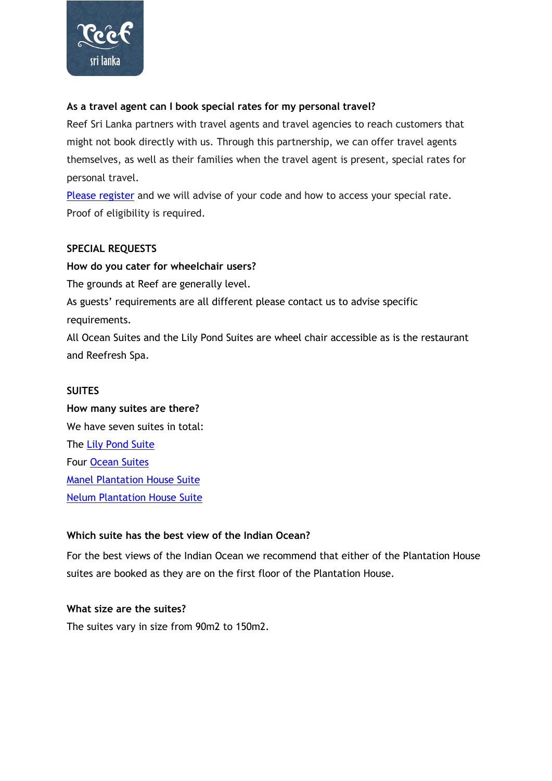

#### **As a travel agent can I book special rates for my personal travel?**

Reef Sri Lanka partners with travel agents and travel agencies to reach customers that might not book directly with us. Through this partnership, we can offer travel agents themselves, as well as their families when the travel agent is present, special rates for personal travel.

[Please register](http://eepurl.com/dEvK8b) and we will advise of your code and how to access your special rate. Proof of eligibility is required.

#### **SPECIAL REQUESTS**

**How do you cater for wheelchair users?** The grounds at Reef are generally level. As guests' requirements are all different please contact us to advise specific requirements.

All Ocean Suites and the Lily Pond Suites are wheel chair accessible as is the restaurant and Reefresh Spa.

#### **SUITES**

**How many suites are there?** We have seven suites in total: The [Lily Pond Suite](https://www.reefvilla.com/suites/lily-pond-suite) Four [Ocean Suites](https://www.reefvilla.com/suites/ocean-suites) [Manel Plantation House Suite](https://www.reefvilla.com/component/pm/Manel/2/product) [Nelum Plantation House Suite](https://www.reefvilla.com/component/pm/Nelum/3/product)

#### **Which suite has the best view of the Indian Ocean?**

For the best views of the Indian Ocean we recommend that either of the Plantation House suites are booked as they are on the first floor of the Plantation House.

#### **What size are the suites?**

The suites vary in size from 90m2 to 150m2.